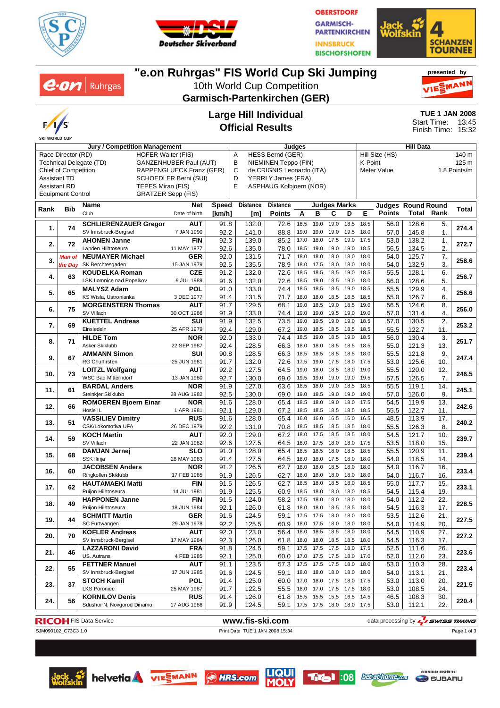



**OBERSTDORF GARMISCH-PARTENKIRCHEN INNSBRUCK BISCHOFSHOFEN** 



**presented by**

#### $e$ *on* | Ruhrgas MAN 10th World Cup Competition **Garmisch-Partenkirchen (GER) TUE 1 JAN 2008 Large Hill Individual** Start Time: 13:45 **Official Results** Finish Time: 15:32 **SKI WORLD CUP Jury / Competition Management Judges Hill Data** HESS Bernd (GER) Hill Size (HS) 140 m Race Director (RD) HOFER Walter (FIS) Technical Delegate (TD) GANZENHUBER Paul (AUT)<br>Chief of Competition RAPPENGLUECK Franz (GE B NIEMINEN Teppo (FIN) K-Point 125 m RAPPENGLUECK Franz (GER) C de CRIGNIS Leonardo (ITA) Meter Value 1.8 Points/m Assistant TD SCHOEDLER Berni (SUI) D YERRLY James (FRA) E ASPHAUG Kolbjoern (NOR) Assistant RD TEPES Miran (FIS) Equipment Control GRATZER Sepp (FIS) **Rank Bib Name Nat Speed Distance Distance Judges Marks Judges Round Round Rank Total [km/h] Points** Club Date of birth **[m] ABCDE Points Total 1.** 74 **SCHLIERENZAUER Gregor AUT**<br>SV Innsbruck-Bergisel 7 JAN 1990 SV Innsbruck-Bergisel 7 JAN 1990 **274.4** 91.8 132.0 72.6 18.5 19.0 19.0 18.5 18.5 56.0 128.6 5. 92.2 | 141.0 | 88.8 | 19.0 19.0 19.0 19.5 18.0 | 57.0 | 145.8 | 1. **2. 72 AHONEN Janne** FIN<br>Lahden Hiihtoseura 11 MAY 1977 Lahden Hiihtoseura 11 MAY 1977 **272.7** 92.3 139.0 85.2 17.0 18.0 17.5 19.0 17.5 53.0 138.2 1. 92.6 | 135.0 | 78.0 | 18.5 19.0 19.0 19.0 18.5 | 56.5 | 134.5 | 2. **3.** Man of **NEUMAYER Michael GER**<br>*the Day* SK Berchtesgaden 15 JAN 1979 *Man of* SK Berchtesgaden 15 JAN 1979 **258.6** 92.0 131.5 71.7 18.0 18.0 18.0 18.0 18.0 54.0 125.7 7. 92.5 | 135.5 | 78.9 | 18.0 17.5 18.0 18.0 18.0 | 54.0 | 132.9 | 3. **4.** 63 **KOUDELKA Roman CZE**<br>LSK Lomnice nad Popelkov 9 JUL 1989 LSK Lomnice nad Popelkov 9 JUL 1989 **256.7** 91.2 132.0 72.6 18.5 18.5 18.5 19.0 18.5 55.5 128.1 6. 91.6 | 132.0 | 72.6 | 18.5 19.0 18.5 19.0 18.0 | 56.0 | 128.6 | 5. **5.** 65 **MALYSZ Adam** POL<br>KS Wisla, Ustronianka 3 DEC 1977 KS Wisla, Ustronianka 3 DEC 1977 **256.6** 91.0 133.0 74.4 18.5 18.5 18.5 19.0 18.5 55.5 129.9 4.  $91.4$  | 131.5 | 71.7 | 18.0 18.0 18.5 18.5 18.5 | 55.0 | 126.7 | 6. **6.** 75 **MORGENSTERN Thomas AUT**<br>30 OCT 1986 SV Villach 30 OCT 1986 **256.0** 91.7 129.5 68.1 19.0 18.5 19.0 18.5 19.0 56.5 124.6 8. 91.9 | 133.0 | 74.4 | 19.0 19.0 19.5 19.0 19.0 | 57.0 | 131.4 | 4. **7.** 69 **KUETTEL Andreas** SUI<br> **7.** 69 **Einsiedeln** 25 APR 1979 Einsiedeln 25 APR 1979 **253.2** 91.9 132.5 73.5 19.0 19.5 19.0 19.0 18.5 57.0 130.5 2. 92.4 | 129.0 | 67.2 | 19.0 18.5 18.5 18.5 18.5 | 55.5 | 122.7 | 11. **8.** 71 **HILDE Tom** NOR<br>Asker Skiklubb 22 SEP 1987 Asker Skiklubb 22 SEP 1987 **251.7** 92.0 133.0 74.4 18.5 19.0 18.5 19.0 18.5 56.0 130.4 3. 92.4 | 128.5 | 66.3 |18.0 18.0 18.5 18.5 18.5 | 55.0 | 121.3 | 13. **9.** 67 **AMMANN Simon** SUI<br>RG Churfirsten 25 JUN 1981 RG Churfirsten 25 JUN 1981 **247.4** 90.8 128.5 66.3 18.5 18.5 18.5 18.5 18.0 55.5 121.8 9. 91.7 | 132.0 | 72.6 | 17.5 19.0 17.5 18.0 17.5 | 53.0 | 125.6 | 10. **10.** 73 **LOITZL Wolfgang AUT**<br>WSC Bad Mitterndorf 13.JAN 1980 **LOITZL Wolfgang AUT** 92.2 | 127.5 | 64.5 | 19.0 18.0 18.0 19.0 | 55.5 | 120.0 | 12. | **246.5**<br>WSC Bad Mitterndorf 13 JAN 1980 | 92.7 | 130.0 | 69.0 | 19.5 19.0 19.0 19.0 19.5 | 57.5 | 126.5 | 7 92.7 | 130.0 | 69.0 | 19.5 19.0 19.0 19.0 19.5 | 57.5 | 126.5 | 7. **11.** 61 **BARDAL Anders NOR**<br> **11.** 61 **BARDAL Anders 1982** Steinkjer Skiklubb 28 AUG 1982 **245.1** 91.9 127.0 63.6 18.5 18.0 19.0 18.5 18.5 55.5 119.1 14. 92.5 | 130.0 | 69.0 | 19.0 18.5 19.0 19.0 19.0 | 57.0 | 126.0 | 9. **12.** 66 **ROMOEREN Bjoern Einar NOR**<br>1 APR 1981 **ROMOEREN Bjoern Einar NOR** | 91.6 | 128.0 | 65.4 | 18.5 18.0 19.0 18.0 17.5 | 54.5 | 119.9 | 13. | 242.6<br>Hosle IL 1 APR 1981 | 92.1 | 129.0 | 67.2 | 18.5 18.5 18.5 18.5 18.5 | 55.5 | 122.7 | 11. | 92.1 | 129.0 | 67.2 | 18.5 18.5 18.5 18.5 18.5 | 55.5 | 122.7 | 11. **13.** 51 **VASSILIEV Dimitry** RUS<br>CSK/Lokomotiva UFA 26 DEC 1979 **VASSILIEV Dimitry RUS 91.6 128.0 65.4 16.0 16.5 16.0 16.5 48.5 113.9 17. 240.2<br>CSK/Lokomotiva UFA 26 DEC 1979 92.2 131.** 92.2 | 131.0 | 70.8 | 18.5 18.5 18.5 18.5 18.0 | 55.5 | 126.3 | 8. **14. 59 KOCH Martin <b>AUT**<br>SV Villach **22 JAN 1982** SV Villach 22 JAN 1982 **239.7** 92.0 129.0 67.2 18.0 17.5 18.5 18.5 18.0 54.5 121.7 10. 92.6 | 127.5 | 64.5 | 18.0 17.5 18.0 18.0 17.5 | 53.5 | 118.0 | 15. **15.** 68 **DAMJAN Jernej SLO**<br> **15.** 68 **DAMJAN Jernej** 28 MAY 1983 SSK Ilirija 28 MAY 1983 **239.4** 91.0 128.0 65.4 18.5 18.5 18.0 18.5 18.5 55.5 120.9 11. 91.4 | 127.5 | 64.5 | 18.0 18.0 17.5 18.0 18.0 | 54.0 | 118.5 | 14. **16.** 60 **JACOBSEN Anders** NOR<br> **16.** 60 **Ringkollen Skiklubb** 17 FEB 1985 Ringkollen Skiklubb 17 FEB 1985 **233.4** 91.2 126.5 62.7 18.0 18.0 18.5 18.0 18.0 54.0 116.7 16. 91.9 | 126.5 | 62.7 | 18.0 18.0 18.0 18.0 18.0 | 54.0 | 116.7 | 16. **17.** 62 **HAUTAMAEKI Matti FIN**<br>**14 JUL 1981** Puijon Hiihtoseura 14 JUL 1981 **233.1** 91.5 126.5 62.7 18.5 18.0 18.5 18.0 18.5 55.0 117.7 15. 91.9 | 125.5 | 60.9 | 18.5 18.0 18.0 18.0 18.5 | 54.5 | 115.4 | 19. **18.** 49 **HAPPONEN Janne FIN**<br>Pulion Hilhtoseura **18 JUN 1984** Puijon Hiihtoseura 18 JUN 1984 **228.5** 91.5 124.0 58.2 17.5 18.0 18.0 18.0 18.0 54.0 112.2 22. 92.1 | 126.0 | 61.8 |18.0 18.0 18.5 18.5 18.0 | 54.5 | 116.3 | 17. **19.** 44 **SCHMITT Martin GER**<br>SC Furtwangen **1978** 29 JAN 1978 SC Furtwangen 29 JAN 1978 **227.5** 91.6 124.5 59.1 17.5 17.5 18.0 18.0 18.0 53.5 112.6 21. 92.2 125.5 60.9 18.0 17.5 18.0 18.0 18.0 54.0 114.9 20. **20. 70 KOFLER Andreas AUT**<br>SV Innsbruck-Bergise **17 MAY** 1984 SV Innsbruck-Bergisel 17 MAY 1984 **227.2** 92.0 123.0 56.4 18.0 18.5 18.5 18.0 18.0 54.5 110.9 27. 92.3 | 126.0 | 61.8 |18.0 18.0 18.5 18.5 18.0 | 54.5 | 116.3 | 17. **21.** 46 **LAZZARONI David** FRA<br>4 **FEB** 1985 US. Autrans 4 FEB 1985 **223.6** 91.8 124.5 59.1 17.5 17.5 17.5 18.0 17.5 52.5 111.6 26. 92.1 | 125.0 | 60.0 | 17.0 17.5 17.5 18.0 17.0 | 52.0 | 112.0 | 23. **22.** 55 **FETTNER Manuel 61 AUT**<br>SV Innsbruck-Bergisel 17 JUN 1985 SV Innsbruck-Bergisel 17 JUN 1985 **223.4** 91.1 123.5 57.3 17.5 17.5 17.5 18.0 18.0 53.0 110.3 28. 91.6 124.5 59.1 18.0 18.0 18.0 18.0 18.0 54.0 113.1 21. **23.** 37 **STOCH Kamil POL**<br>LKS Poroniec 25 MAY 1987 LKS Poroniec 25 MAY 1987 **221.5** 91.4 125.0 60.0 17.0 18.0 17.5 18.0 17.5 53.0 113.0 20. 91.7 | 122.5 | 55.5 |18.0 17.0 17.5 17.5 18.0 | 53.0 | 108.5 | 24. **24.** 56 **KORNILOV Denis RUS**<br> **24.** 56 Sdushor N. Novgorod Dinamo 17 AUG 1986 Sdushor N. Novgorod Dinamo 17 AUG 1986 **220.4** 91.4 126.0 61.8 15.5 15.5 15.5 16.5 14.5 46.5 108.3 30. 91.9 124.5 59.1 17.5 17.5 18.0 18.0 17.5 53.0 112.1 22.

**"e.on Ruhrgas" FIS World Cup Ski Jumping**















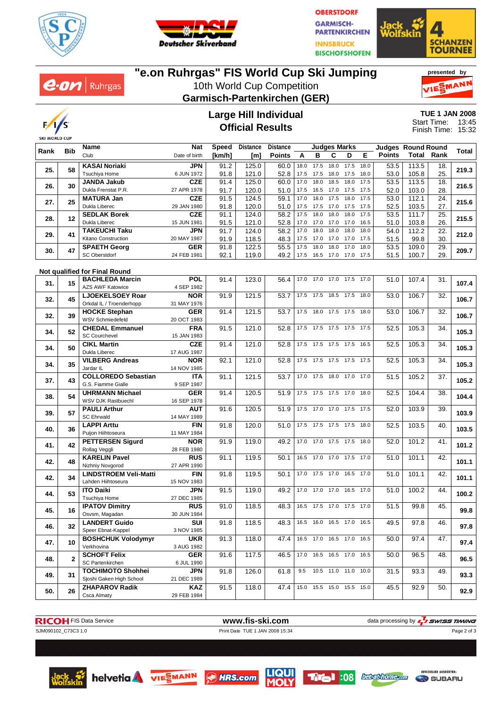

 $e$ *on* | Ruhrgas



**OBERSTDORF GARMISCH-PARTENKIRCHEN INNSBRUCK BISCHOFSHOFEN** 



# **"e.on Ruhrgas" FIS World Cup Ski Jumping**

10th World Cup Competition **Garmisch-Partenkirchen (GER)**





### **Large Hill Individual Official Results**

| <b>TUE 1 JAN 2008</b> |       |
|-----------------------|-------|
| Start Time:           | 13:45 |
| Finish Time:          | 15:32 |

|      |              | Name                                 | Nat                       | Speed  | <b>Distance</b> | <b>Distance</b> |              |                | <b>Judges Marks</b> |                              |      | <b>Judges Round Round</b> |                   |            |       |
|------|--------------|--------------------------------------|---------------------------|--------|-----------------|-----------------|--------------|----------------|---------------------|------------------------------|------|---------------------------|-------------------|------------|-------|
| Rank | <b>Bib</b>   | Club                                 | Date of birth             | [km/h] | [m]             | <b>Points</b>   | A            | в              | С                   | D                            | Е    | <b>Points</b>             | <b>Total Rank</b> |            | Total |
|      |              | <b>KASAI Noriaki</b>                 | <b>JPN</b>                | 91.2   | 125.0           | 60.0            | 18.0         | 17.5           | 18.0                | 17.5                         | 18.0 | 53.5                      | 113.5             | 18.        |       |
| 25.  | 58           | Tsuchiya Home                        | 6 JUN 1972                | 91.8   | 121.0           | 52.8            | 17.5         | 17.5           | 18.0                | 17.5                         | 18.0 | 53.0                      | 105.8             | 25.        | 219.3 |
|      |              | <b>JANDA Jakub</b>                   | <b>CZE</b>                | 91.4   | 125.0           | 60.0            | 17.0         | 18.0           | 18.5                | 18.0                         | 17.5 | 53.5                      | 113.5             | 18.        |       |
| 26.  | 30           | Dukla Frenstat P.R.                  | 27 APR 1978               | 91.7   | 120.0           | 51.0            | 17.5         | 16.5           |                     | 17.0 17.5 17.5               |      | 52.0                      | 103.0             | 28.        | 216.5 |
|      |              | <b>MATURA Jan</b>                    | <b>CZE</b>                | 91.5   | 124.5           | 59.1            | 17.0         | 18.0           | 17.5                | 18.0                         | 17.5 | 53.0                      | 112.1             | 24.        |       |
| 27.  | 25           | Dukla Liberec                        |                           |        |                 |                 |              |                |                     |                              |      |                           |                   |            | 215.6 |
|      |              |                                      | 29 JAN 1980<br><b>CZE</b> | 91.8   | 120.0<br>124.0  | 51.0<br>58.2    | 17.5<br>17.5 | 17.5<br>18.0   | 17.0<br>18.0        | 17.5 17.5<br>18.0            | 17.5 | 52.5                      | 103.5             | 27.<br>25. |       |
| 28.  | 12           | <b>SEDLAK Borek</b><br>Dukla Liberec | 15 JUN 1981               | 91.1   |                 |                 | 17.0         |                |                     | 17.0                         |      | 53.5                      | 111.7             | 26.        | 215.5 |
|      |              |                                      |                           | 91.5   | 121.0           | 52.8            |              | 17.0           | 17.0                |                              | 16.5 | 51.0                      | 103.8             |            |       |
| 29.  | 41           | <b>TAKEUCHI Taku</b>                 | <b>JPN</b>                | 91.7   | 124.0           | 58.2            | 17.0         | 18.0           | 18.0                | 18.0                         | 18.0 | 54.0                      | 112.2             | 22.        | 212.0 |
|      |              | Kitano Construction                  | 20 MAY 1987               | 91.9   | 118.5           | 48.3            | 17.5         | 17.0           | 17.0                | 17.0                         | 17.5 | 51.5                      | 99.8              | 30.        |       |
| 30.  | 47           | <b>SPAETH Georg</b>                  | <b>GER</b>                | 91.8   | 122.5           | 55.5            | 17.5         | 18.0           | 18.0                | 17.0                         | 18.0 | 53.5                      | 109.0             | 29.        | 209.7 |
|      |              | SC Oberstdorf                        | 24 FEB 1981               | 92.1   | 119.0           | 49.2            |              | 17.5 16.5 17.0 |                     | 17.0 17.5                    |      | 51.5                      | 100.7             | 29.        |       |
|      |              |                                      |                           |        |                 |                 |              |                |                     |                              |      |                           |                   |            |       |
|      |              | Not qualified for Final Round        |                           |        |                 |                 |              |                |                     |                              |      |                           |                   |            |       |
| 31.  | 15           | <b>BACHLEDA Marcin</b>               | <b>POL</b>                | 91.4   | 123.0           | 56.4            | 17.0         |                |                     | 17.0 17.0 17.5 17.0          |      | 51.0                      | 107.4             | 31.        | 107.4 |
|      |              | <b>AZS AWF Katowice</b>              | 4 SEP 1982                |        |                 |                 |              |                |                     |                              |      |                           |                   |            |       |
| 32.  | 45           | <b>LJOEKELSOEY Roar</b>              | <b>NOR</b>                | 91.9   | 121.5           | 53.7            |              |                |                     | 17.5 17.5 18.5 17.5 18.0     |      | 53.0                      | 106.7             | 32.        | 106.7 |
|      |              | Orkdal IL / Troenderhopp             | 31 MAY 1976               |        |                 |                 |              |                |                     |                              |      |                           |                   |            |       |
| 32.  | 39           | <b>HOCKE Stephan</b>                 | <b>GER</b>                | 91.4   | 121.5           | 53.7            |              |                |                     | 17.5 18.0 17.5 17.5 18.0     |      | 53.0                      | 106.7             | 32.        | 106.7 |
|      |              | WSV Schmiedefeld                     | 20 OCT 1983               |        |                 |                 |              |                |                     |                              |      |                           |                   |            |       |
| 34.  | 52           | <b>CHEDAL Emmanuel</b>               | <b>FRA</b>                | 91.5   | 121.0           | 52.8            |              |                |                     | 17.5 17.5 17.5 17.5 17.5     |      | 52.5                      | 105.3             | 34.        | 105.3 |
|      |              | <b>SC Courchevel</b>                 | 15 JAN 1983               |        |                 |                 |              |                |                     |                              |      |                           |                   |            |       |
| 34.  | 50           | <b>CIKL Martin</b>                   | <b>CZE</b>                | 91.4   | 121.0           | 52.8            |              |                |                     | 17.5 17.5 17.5 17.5 16.5     |      | 52.5                      | 105.3             | 34.        | 105.3 |
|      |              | Dukla Liberec                        | 17 AUG 1987               |        |                 |                 |              |                |                     |                              |      |                           |                   |            |       |
| 34.  | 35           | <b>VILBERG Andreas</b>               | <b>NOR</b>                | 92.1   | 121.0           | 52.8            | 17.5         |                |                     | 17.5 17.5 17.5 17.5          |      | 52.5                      | 105.3             | 34.        | 105.3 |
|      |              | Jardar IL                            | 14 NOV 1985               |        |                 |                 |              |                |                     |                              |      |                           |                   |            |       |
| 37.  | 43           | <b>COLLOREDO Sebastian</b>           | <b>ITA</b>                | 91.1   | 121.5           | 53.7            |              |                |                     | 17.0 17.5 18.0 17.0 17.0     |      | 51.5                      | 105.2             | 37.        | 105.2 |
|      |              | G.S. Fiamme Gialle                   | 9 SEP 1987                |        |                 |                 |              |                |                     |                              |      |                           |                   |            |       |
| 38.  | 54           | <b>UHRMANN Michael</b>               | <b>GER</b>                | 91.4   | 120.5           | 51.9            |              |                |                     | 17.5 17.5 17.5 17.0 18.0     |      | 52.5                      | 104.4             | 38.        | 104.4 |
|      |              | WSV DJK Rastbuechl                   | 16 SEP 1978               |        |                 |                 |              |                |                     |                              |      |                           |                   |            |       |
|      | 57           | <b>PAULI Arthur</b>                  | <b>AUT</b>                | 91.6   | 120.5           | 51.9            | 17.5         | 17.0 17.0      |                     | 17.5 17.5                    |      | 52.0                      | 103.9             | 39.        | 103.9 |
| 39.  |              | <b>SC Ehrwald</b>                    | 14 MAY 1989               |        |                 |                 |              |                |                     |                              |      |                           |                   |            |       |
|      |              | <b>LAPPI Arttu</b>                   | <b>FIN</b>                | 91.8   | 120.0           | 51.0            | 17.5         |                |                     | 17.5 17.5 17.5 18.0          |      | 52.5                      | 103.5             | 40.        |       |
| 40.  | 36           | Puijon Hiihtoseura                   | 11 MAY 1984               |        |                 |                 |              |                |                     |                              |      |                           |                   |            | 103.5 |
|      |              | <b>PETTERSEN Sigurd</b>              | <b>NOR</b>                | 91.9   | 119.0           | 49.2            | 17.0         |                | 17.0 17.5           | 17.5                         | 18.0 | 52.0                      | 101.2             | 41.        |       |
| 41.  | 42           | Rollag Veggli                        | 28 FEB 1980               |        |                 |                 |              |                |                     |                              |      |                           |                   |            | 101.2 |
|      |              | <b>KARELIN Pavel</b>                 | <b>RUS</b>                | 91.1   | 119.5           | 50.1            |              |                |                     | 16.5 17.0 17.0 17.5 17.0     |      | 51.0                      | 101.1             | 42.        |       |
| 42.  | 48           | Nizhniy Novgorod                     | 27 APR 1990               |        |                 |                 |              |                |                     |                              |      |                           |                   |            | 101.1 |
|      |              | <b>LINDSTROEM Veli-Matti</b>         | <b>FIN</b>                | 91.8   | 119.5           | 50.1            | 17.0         | 17.5 17.0      |                     | 16.5 17.0                    |      | 51.0                      | 101.1             | 42.        |       |
| 42.  | 34           | Lahden Hiihtoseura                   | 15 NOV 1983               |        |                 |                 |              |                |                     |                              |      |                           |                   |            | 101.1 |
|      |              | <b>ITO Daiki</b>                     | <b>JPN</b>                | 91.5   | 119.0           | 49.2            | 17.0         | 17.0 17.0      |                     | 16.5 17.0                    |      | 51.0                      | 100.2             | 44.        |       |
| 44.  | 53           | Tsuchiya Home                        | 27 DEC 1985               |        |                 |                 |              |                |                     |                              |      |                           |                   |            | 100.2 |
| 45.  |              | <b>IPATOV Dimitry</b>                | <b>RUS</b>                | 91.0   | 118.5           | 48.3            |              |                |                     | 16.5 17.5 17.0 17.5 17.0     |      | 51.5                      | 99.8              | 45.        |       |
|      | 16           | Osvsm, Magadan                       | 30 JUN 1984               |        |                 |                 |              |                |                     |                              |      |                           |                   |            | 99.8  |
|      |              | <b>LANDERT Guido</b>                 | SUI                       | 91.8   | 118.5           | 48.3            |              |                |                     | 16.5 16.0 16.5 17.0 16.5     |      | 49.5                      | 97.8              | 46.        |       |
| 46.  | 32           | Speer Ebnat-Kappel                   | 3 NOV 1985                |        |                 |                 |              |                |                     |                              |      |                           |                   |            | 97.8  |
|      |              | <b>BOSHCHUK Volodymvr</b>            | <b>UKR</b>                | 91.3   | 118.0           | 47.4            |              |                |                     | 16.5 17.0 16.5 17.0 16.5     |      | 50.0                      | 97.4              | 47.        |       |
| 47.  | 10           | Verkhovina                           | 3 AUG 1982                |        |                 |                 |              |                |                     |                              |      |                           |                   |            | 97.4  |
|      |              | <b>SCHOFT Felix</b>                  | <b>GER</b>                | 91.6   | 117.5           | 46.5            |              |                |                     | 17.0  16.5  16.5  17.0  16.5 |      | 50.0                      | 96.5              | 48.        |       |
| 48.  | $\mathbf{2}$ | SC Partenkirchen                     | 6 JUL 1990                |        |                 |                 |              |                |                     |                              |      |                           |                   |            | 96.5  |
|      |              | <b>TOCHIMOTO Shohhei</b>             | <b>JPN</b>                | 91.8   | 126.0           | 61.8            | 9.5          |                |                     | $10.5$ $11.0$ $11.0$ $10.0$  |      | 31.5                      | 93.3              | 49.        |       |
| 49.  | 31           | Sjoshi Gaken High School             | 21 DEC 1989               |        |                 |                 |              |                |                     |                              |      |                           |                   |            | 93.3  |
|      |              | <b>ZHAPAROV Radik</b>                | <b>KAZ</b>                | 91.5   | 118.0           | 47.4            |              |                |                     | 15.0 15.5 15.0 15.5 15.0     |      | 45.5                      | 92.9              | 50.        |       |
| 50.  | 26           | Csca Almaty                          | 29 FEB 1984               |        |                 |                 |              |                |                     |                              |      |                           |                   |            | 92.9  |